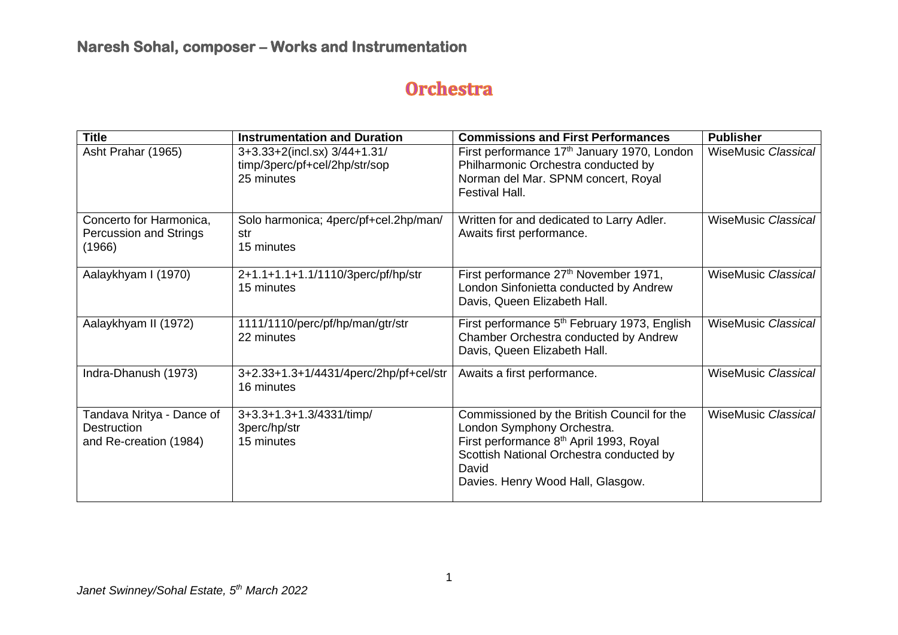# **Orchestra**

| <b>Title</b>                                                              | <b>Instrumentation and Duration</b>                                         | <b>Commissions and First Performances</b>                                                                                                                                                                                  | <b>Publisher</b>           |
|---------------------------------------------------------------------------|-----------------------------------------------------------------------------|----------------------------------------------------------------------------------------------------------------------------------------------------------------------------------------------------------------------------|----------------------------|
| Asht Prahar (1965)                                                        | 3+3.33+2(incl.sx) 3/44+1.31/<br>timp/3perc/pf+cel/2hp/str/sop<br>25 minutes | First performance 17 <sup>th</sup> January 1970, London<br>Philharmonic Orchestra conducted by<br>Norman del Mar. SPNM concert, Royal<br>Festival Hall.                                                                    | <b>WiseMusic Classical</b> |
| Concerto for Harmonica,<br><b>Percussion and Strings</b><br>(1966)        | Solo harmonica; 4perc/pf+cel.2hp/man/<br>str<br>15 minutes                  | Written for and dedicated to Larry Adler.<br>Awaits first performance.                                                                                                                                                     | <b>WiseMusic Classical</b> |
| Aalaykhyam I (1970)                                                       | 2+1.1+1.1+1.1/1110/3perc/pf/hp/str<br>15 minutes                            | First performance 27 <sup>th</sup> November 1971,<br>London Sinfonietta conducted by Andrew<br>Davis, Queen Elizabeth Hall.                                                                                                | <b>WiseMusic Classical</b> |
| Aalaykhyam II (1972)                                                      | 1111/1110/perc/pf/hp/man/gtr/str<br>22 minutes                              | First performance 5 <sup>th</sup> February 1973, English<br>Chamber Orchestra conducted by Andrew<br>Davis, Queen Elizabeth Hall.                                                                                          | <b>WiseMusic Classical</b> |
| Indra-Dhanush (1973)                                                      | 3+2.33+1.3+1/4431/4perc/2hp/pf+cel/str<br>16 minutes                        | Awaits a first performance.                                                                                                                                                                                                | <b>WiseMusic Classical</b> |
| Tandava Nritya - Dance of<br><b>Destruction</b><br>and Re-creation (1984) | 3+3.3+1.3+1.3/4331/timp/<br>3perc/hp/str<br>15 minutes                      | Commissioned by the British Council for the<br>London Symphony Orchestra.<br>First performance 8 <sup>th</sup> April 1993, Royal<br>Scottish National Orchestra conducted by<br>David<br>Davies. Henry Wood Hall, Glasgow. | <b>WiseMusic Classical</b> |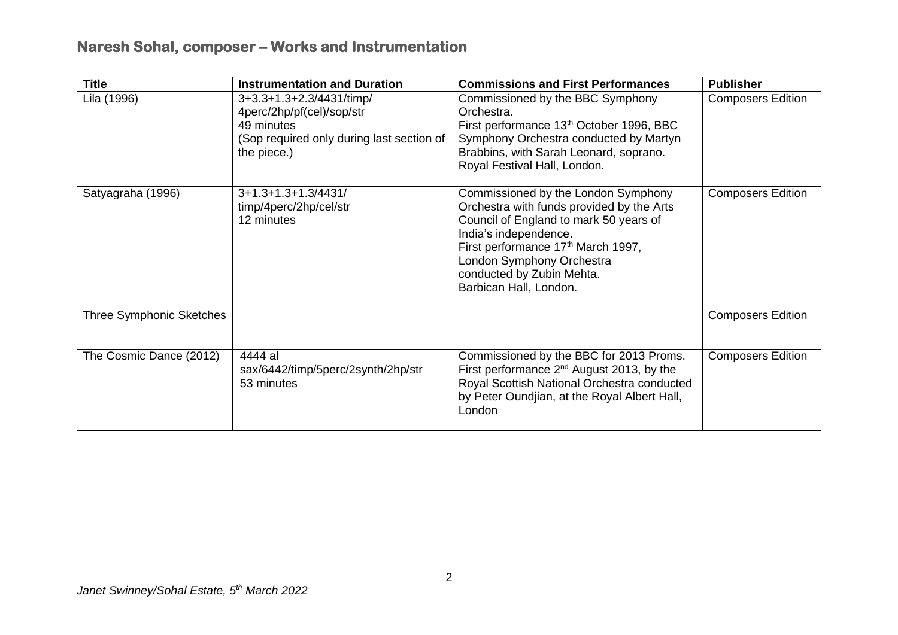| <b>Title</b>                    | <b>Instrumentation and Duration</b>                                                                                             | <b>Commissions and First Performances</b>                                                                                                                                                                                                                                                 | <b>Publisher</b>         |
|---------------------------------|---------------------------------------------------------------------------------------------------------------------------------|-------------------------------------------------------------------------------------------------------------------------------------------------------------------------------------------------------------------------------------------------------------------------------------------|--------------------------|
| Lila (1996)                     | 3+3.3+1.3+2.3/4431/timp/<br>4perc/2hp/pf(cel)/sop/str<br>49 minutes<br>(Sop required only during last section of<br>the piece.) | Commissioned by the BBC Symphony<br>Orchestra.<br>First performance 13 <sup>th</sup> October 1996, BBC<br>Symphony Orchestra conducted by Martyn<br>Brabbins, with Sarah Leonard, soprano.<br>Royal Festival Hall, London.                                                                | <b>Composers Edition</b> |
| Satyagraha (1996)               | $3+1.3+1.3+1.3/4431/$<br>timp/4perc/2hp/cel/str<br>12 minutes                                                                   | Commissioned by the London Symphony<br>Orchestra with funds provided by the Arts<br>Council of England to mark 50 years of<br>India's independence.<br>First performance 17 <sup>th</sup> March 1997,<br>London Symphony Orchestra<br>conducted by Zubin Mehta.<br>Barbican Hall, London. | <b>Composers Edition</b> |
| <b>Three Symphonic Sketches</b> |                                                                                                                                 |                                                                                                                                                                                                                                                                                           | <b>Composers Edition</b> |
| The Cosmic Dance (2012)         | 4444 al<br>sax/6442/timp/5perc/2synth/2hp/str<br>53 minutes                                                                     | Commissioned by the BBC for 2013 Proms.<br>First performance $2^{nd}$ August 2013, by the<br>Royal Scottish National Orchestra conducted<br>by Peter Oundjian, at the Royal Albert Hall,<br>London                                                                                        | <b>Composers Edition</b> |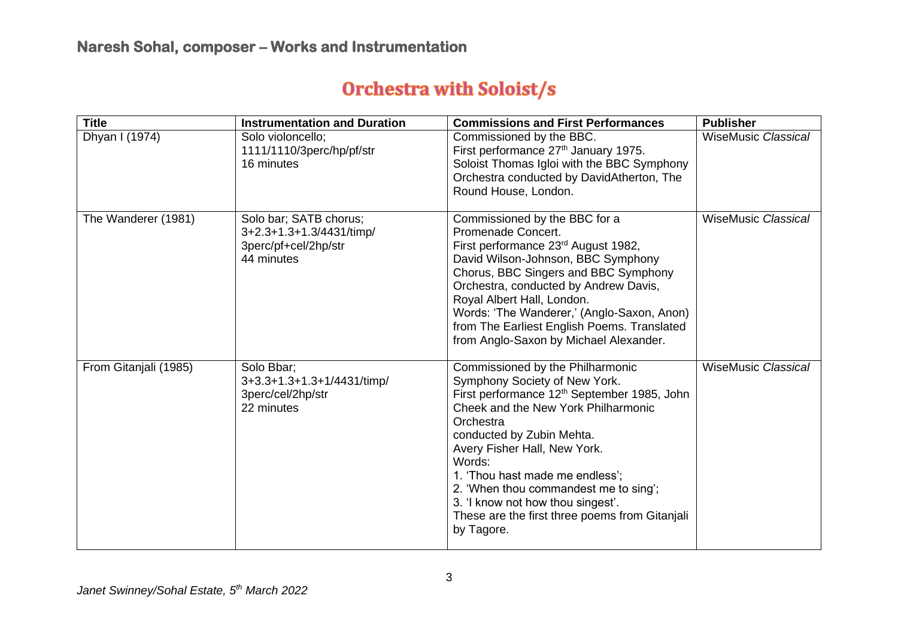# **Orchestra with Soloist/s**

| <b>Title</b>          | <b>Instrumentation and Duration</b>                                                      | <b>Commissions and First Performances</b>                                                                                                                                                                                                                                                                                                                                                                                                | <b>Publisher</b>           |
|-----------------------|------------------------------------------------------------------------------------------|------------------------------------------------------------------------------------------------------------------------------------------------------------------------------------------------------------------------------------------------------------------------------------------------------------------------------------------------------------------------------------------------------------------------------------------|----------------------------|
| Dhyan I (1974)        | Solo violoncello;<br>1111/1110/3perc/hp/pf/str<br>16 minutes                             | Commissioned by the BBC.<br>First performance 27 <sup>th</sup> January 1975.<br>Soloist Thomas Igloi with the BBC Symphony<br>Orchestra conducted by DavidAtherton, The<br>Round House, London.                                                                                                                                                                                                                                          | <b>WiseMusic Classical</b> |
| The Wanderer (1981)   | Solo bar; SATB chorus;<br>3+2.3+1.3+1.3/4431/timp/<br>3perc/pf+cel/2hp/str<br>44 minutes | Commissioned by the BBC for a<br>Promenade Concert.<br>First performance 23rd August 1982,<br>David Wilson-Johnson, BBC Symphony<br>Chorus, BBC Singers and BBC Symphony<br>Orchestra, conducted by Andrew Davis,<br>Royal Albert Hall, London.<br>Words: 'The Wanderer,' (Anglo-Saxon, Anon)<br>from The Earliest English Poems. Translated<br>from Anglo-Saxon by Michael Alexander.                                                   | <b>WiseMusic Classical</b> |
| From Gitanjali (1985) | Solo Bbar;<br>3+3.3+1.3+1.3+1/4431/timp/<br>3perc/cel/2hp/str<br>22 minutes              | Commissioned by the Philharmonic<br>Symphony Society of New York.<br>First performance 12 <sup>th</sup> September 1985, John<br>Cheek and the New York Philharmonic<br>Orchestra<br>conducted by Zubin Mehta.<br>Avery Fisher Hall, New York.<br>Words:<br>1. 'Thou hast made me endless';<br>2. 'When thou commandest me to sing';<br>3. 'I know not how thou singest'.<br>These are the first three poems from Gitanjali<br>by Tagore. | <b>WiseMusic Classical</b> |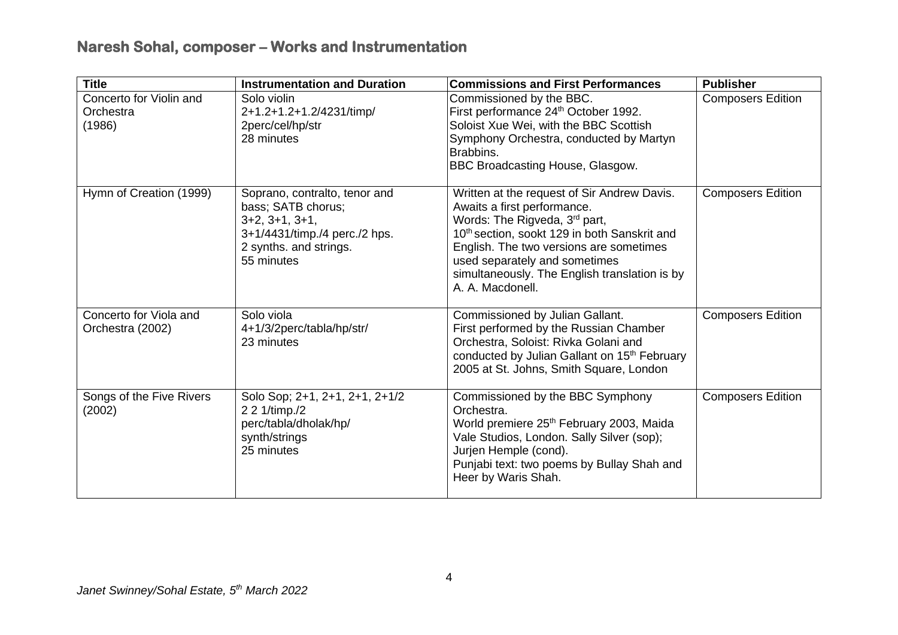| <b>Title</b>                                   | <b>Instrumentation and Duration</b>                                                                                                              | <b>Commissions and First Performances</b>                                                                                                                                                                                                                                                                                | <b>Publisher</b>         |
|------------------------------------------------|--------------------------------------------------------------------------------------------------------------------------------------------------|--------------------------------------------------------------------------------------------------------------------------------------------------------------------------------------------------------------------------------------------------------------------------------------------------------------------------|--------------------------|
| Concerto for Violin and<br>Orchestra<br>(1986) | Solo violin<br>2+1.2+1.2+1.2/4231/timp/<br>2perc/cel/hp/str<br>28 minutes                                                                        | Commissioned by the BBC.<br>First performance 24 <sup>th</sup> October 1992.<br>Soloist Xue Wei, with the BBC Scottish<br>Symphony Orchestra, conducted by Martyn<br>Brabbins.<br><b>BBC Broadcasting House, Glasgow.</b>                                                                                                | <b>Composers Edition</b> |
| Hymn of Creation (1999)                        | Soprano, contralto, tenor and<br>bass; SATB chorus;<br>$3+2, 3+1, 3+1,$<br>3+1/4431/timp./4 perc./2 hps.<br>2 synths. and strings.<br>55 minutes | Written at the request of Sir Andrew Davis.<br>Awaits a first performance.<br>Words: The Rigveda, 3rd part,<br>10 <sup>th</sup> section, sookt 129 in both Sanskrit and<br>English. The two versions are sometimes<br>used separately and sometimes<br>simultaneously. The English translation is by<br>A. A. Macdonell. | <b>Composers Edition</b> |
| Concerto for Viola and<br>Orchestra (2002)     | Solo viola<br>4+1/3/2perc/tabla/hp/str/<br>23 minutes                                                                                            | Commissioned by Julian Gallant.<br>First performed by the Russian Chamber<br>Orchestra, Soloist: Rivka Golani and<br>conducted by Julian Gallant on 15 <sup>th</sup> February<br>2005 at St. Johns, Smith Square, London                                                                                                 | <b>Composers Edition</b> |
| Songs of the Five Rivers<br>(2002)             | Solo Sop; 2+1, 2+1, 2+1, 2+1/2<br>2 2 1/timp./2<br>perc/tabla/dholak/hp/<br>synth/strings<br>25 minutes                                          | Commissioned by the BBC Symphony<br>Orchestra.<br>World premiere 25 <sup>th</sup> February 2003, Maida<br>Vale Studios, London. Sally Silver (sop);<br>Jurjen Hemple (cond).<br>Punjabi text: two poems by Bullay Shah and<br>Heer by Waris Shah.                                                                        | <b>Composers Edition</b> |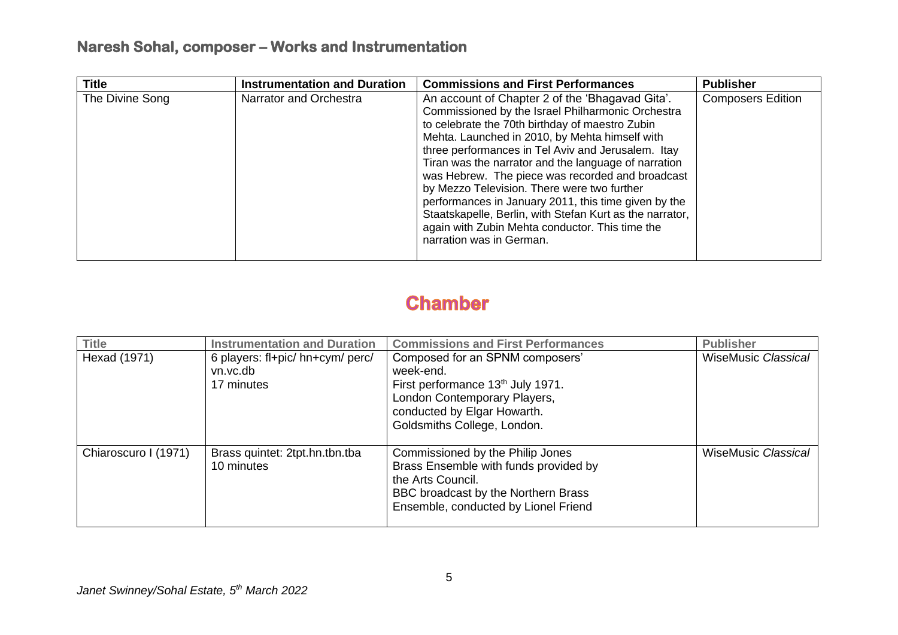| <b>Title</b>    | <b>Instrumentation and Duration</b> | <b>Commissions and First Performances</b>                                                                                                                                                                                                                                                                                                                                                                                                                                                                                                                                                                                     | <b>Publisher</b>         |
|-----------------|-------------------------------------|-------------------------------------------------------------------------------------------------------------------------------------------------------------------------------------------------------------------------------------------------------------------------------------------------------------------------------------------------------------------------------------------------------------------------------------------------------------------------------------------------------------------------------------------------------------------------------------------------------------------------------|--------------------------|
| The Divine Song | Narrator and Orchestra              | An account of Chapter 2 of the 'Bhagavad Gita'.<br>Commissioned by the Israel Philharmonic Orchestra<br>to celebrate the 70th birthday of maestro Zubin<br>Mehta. Launched in 2010, by Mehta himself with<br>three performances in Tel Aviv and Jerusalem. Itay<br>Tiran was the narrator and the language of narration<br>was Hebrew. The piece was recorded and broadcast<br>by Mezzo Television. There were two further<br>performances in January 2011, this time given by the<br>Staatskapelle, Berlin, with Stefan Kurt as the narrator,<br>again with Zubin Mehta conductor. This time the<br>narration was in German. | <b>Composers Edition</b> |

## **Chamber**

| <b>Title</b>         | <b>Instrumentation and Duration</b>                        | <b>Commissions and First Performances</b>                                                                                                                                                   | <b>Publisher</b>           |
|----------------------|------------------------------------------------------------|---------------------------------------------------------------------------------------------------------------------------------------------------------------------------------------------|----------------------------|
| Hexad (1971)         | 6 players: fl+pic/ hn+cym/ perc/<br>vn.vc.db<br>17 minutes | Composed for an SPNM composers'<br>week-end.<br>First performance 13 <sup>th</sup> July 1971.<br>London Contemporary Players,<br>conducted by Elgar Howarth.<br>Goldsmiths College, London. | <b>WiseMusic Classical</b> |
| Chiaroscuro I (1971) | Brass quintet: 2tpt.hn.tbn.tba<br>10 minutes               | Commissioned by the Philip Jones<br>Brass Ensemble with funds provided by<br>the Arts Council.<br>BBC broadcast by the Northern Brass<br>Ensemble, conducted by Lionel Friend               | <b>WiseMusic Classical</b> |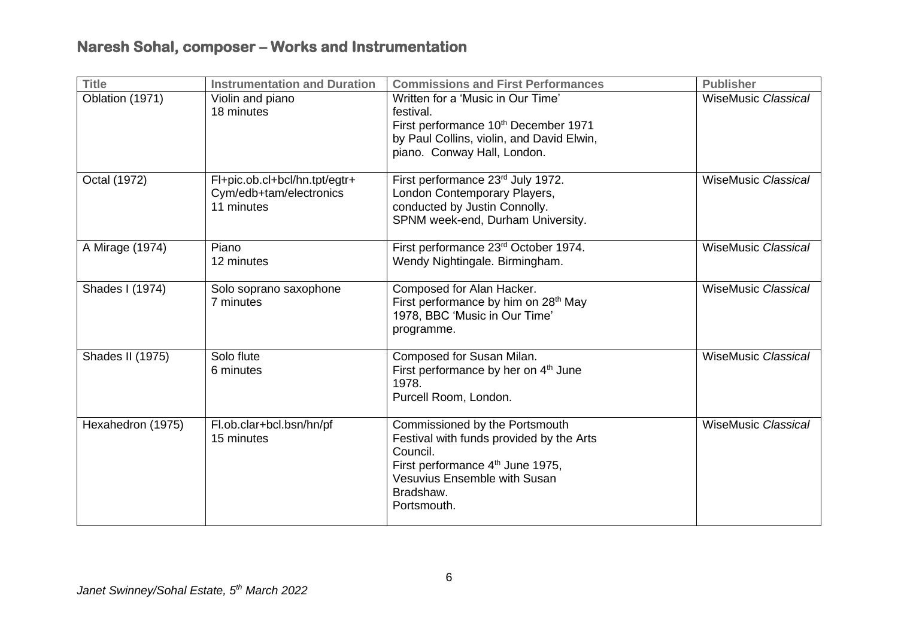| <b>Title</b>      | <b>Instrumentation and Duration</b>                                    | <b>Commissions and First Performances</b>                                                                                                                                                                 | <b>Publisher</b>           |
|-------------------|------------------------------------------------------------------------|-----------------------------------------------------------------------------------------------------------------------------------------------------------------------------------------------------------|----------------------------|
| Oblation (1971)   | Violin and piano<br>18 minutes                                         | Written for a 'Music in Our Time'<br>festival.<br>First performance 10 <sup>th</sup> December 1971<br>by Paul Collins, violin, and David Elwin,<br>piano. Conway Hall, London.                            | <b>WiseMusic Classical</b> |
| Octal (1972)      | Fl+pic.ob.cl+bcl/hn.tpt/egtr+<br>Cym/edb+tam/electronics<br>11 minutes | First performance 23rd July 1972.<br>London Contemporary Players,<br>conducted by Justin Connolly.<br>SPNM week-end, Durham University.                                                                   | <b>WiseMusic Classical</b> |
| A Mirage (1974)   | Piano<br>12 minutes                                                    | First performance 23rd October 1974.<br>Wendy Nightingale. Birmingham.                                                                                                                                    | <b>WiseMusic Classical</b> |
| Shades I (1974)   | Solo soprano saxophone<br>7 minutes                                    | Composed for Alan Hacker.<br>First performance by him on 28 <sup>th</sup> May<br>1978, BBC 'Music in Our Time'<br>programme.                                                                              | <b>WiseMusic Classical</b> |
| Shades II (1975)  | Solo flute<br>6 minutes                                                | Composed for Susan Milan.<br>First performance by her on 4 <sup>th</sup> June<br>1978.<br>Purcell Room, London.                                                                                           | <b>WiseMusic Classical</b> |
| Hexahedron (1975) | Fl.ob.clar+bcl.bsn/hn/pf<br>15 minutes                                 | Commissioned by the Portsmouth<br>Festival with funds provided by the Arts<br>Council.<br>First performance 4 <sup>th</sup> June 1975,<br><b>Vesuvius Ensemble with Susan</b><br>Bradshaw.<br>Portsmouth. | <b>WiseMusic Classical</b> |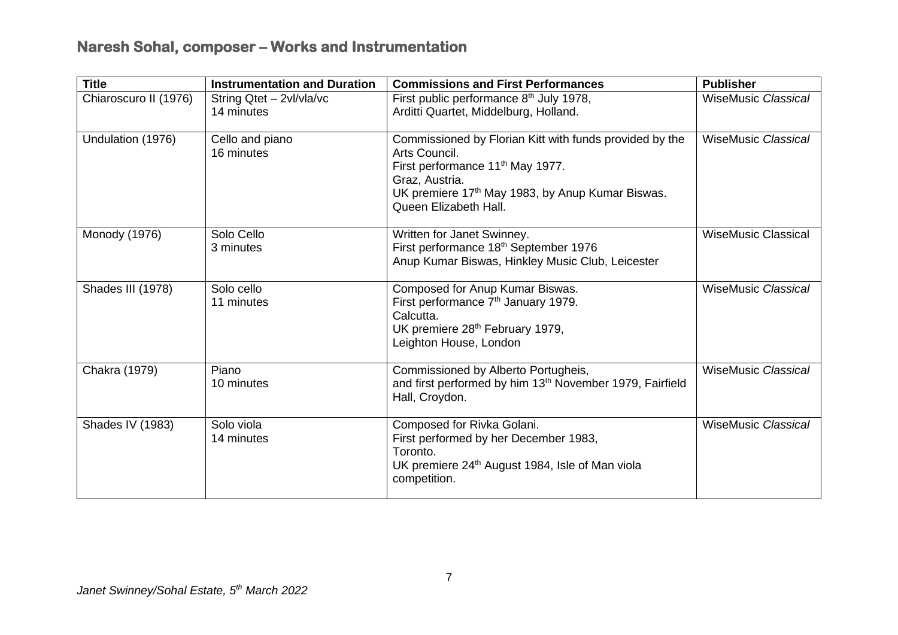| <b>Title</b>          | <b>Instrumentation and Duration</b>    | <b>Commissions and First Performances</b>                                                                                                                                                                                           | <b>Publisher</b>           |
|-----------------------|----------------------------------------|-------------------------------------------------------------------------------------------------------------------------------------------------------------------------------------------------------------------------------------|----------------------------|
| Chiaroscuro II (1976) | String Qtet - 2vl/vla/vc<br>14 minutes | First public performance 8 <sup>th</sup> July 1978,<br>Arditti Quartet, Middelburg, Holland.                                                                                                                                        | <b>WiseMusic Classical</b> |
| Undulation (1976)     | Cello and piano<br>16 minutes          | Commissioned by Florian Kitt with funds provided by the<br>Arts Council.<br>First performance 11 <sup>th</sup> May 1977.<br>Graz, Austria.<br>UK premiere 17 <sup>th</sup> May 1983, by Anup Kumar Biswas.<br>Queen Elizabeth Hall. | <b>WiseMusic Classical</b> |
| Monody (1976)         | Solo Cello<br>3 minutes                | Written for Janet Swinney.<br>First performance 18th September 1976<br>Anup Kumar Biswas, Hinkley Music Club, Leicester                                                                                                             | <b>WiseMusic Classical</b> |
| Shades III (1978)     | Solo cello<br>11 minutes               | Composed for Anup Kumar Biswas.<br>First performance 7 <sup>th</sup> January 1979.<br>Calcutta.<br>UK premiere 28th February 1979,<br>Leighton House, London                                                                        | <b>WiseMusic Classical</b> |
| Chakra (1979)         | Piano<br>10 minutes                    | Commissioned by Alberto Portugheis,<br>and first performed by him 13 <sup>th</sup> November 1979, Fairfield<br>Hall, Croydon.                                                                                                       | <b>WiseMusic Classical</b> |
| Shades IV (1983)      | Solo viola<br>14 minutes               | Composed for Rivka Golani.<br>First performed by her December 1983,<br>Toronto.<br>UK premiere 24 <sup>th</sup> August 1984, Isle of Man viola<br>competition.                                                                      | <b>WiseMusic Classical</b> |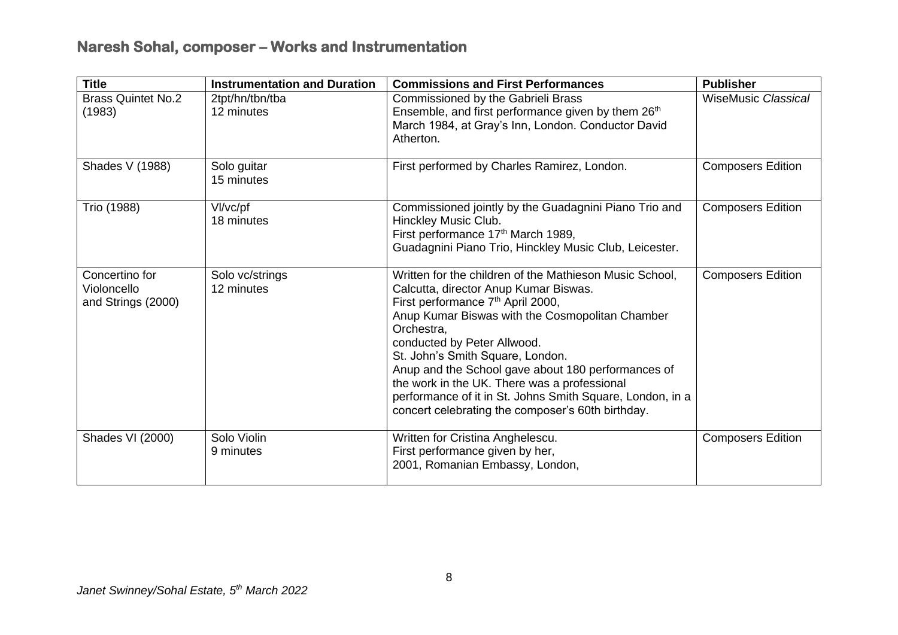| <b>Title</b>                                        | <b>Instrumentation and Duration</b> | <b>Commissions and First Performances</b>                                                                                                                                                                                                                                                                                                                                                                                                                                                                     | <b>Publisher</b>           |
|-----------------------------------------------------|-------------------------------------|---------------------------------------------------------------------------------------------------------------------------------------------------------------------------------------------------------------------------------------------------------------------------------------------------------------------------------------------------------------------------------------------------------------------------------------------------------------------------------------------------------------|----------------------------|
| <b>Brass Quintet No.2</b><br>(1983)                 | 2tpt/hn/tbn/tba<br>12 minutes       | Commissioned by the Gabrieli Brass<br>Ensemble, and first performance given by them 26 <sup>th</sup><br>March 1984, at Gray's Inn, London. Conductor David<br>Atherton.                                                                                                                                                                                                                                                                                                                                       | <b>WiseMusic Classical</b> |
| Shades V (1988)                                     | Solo guitar<br>15 minutes           | First performed by Charles Ramirez, London.                                                                                                                                                                                                                                                                                                                                                                                                                                                                   | <b>Composers Edition</b>   |
| Trio (1988)                                         | VI/vc/pf<br>18 minutes              | Commissioned jointly by the Guadagnini Piano Trio and<br>Hinckley Music Club.<br>First performance 17 <sup>th</sup> March 1989,<br>Guadagnini Piano Trio, Hinckley Music Club, Leicester.                                                                                                                                                                                                                                                                                                                     | <b>Composers Edition</b>   |
| Concertino for<br>Violoncello<br>and Strings (2000) | Solo vc/strings<br>12 minutes       | Written for the children of the Mathieson Music School,<br>Calcutta, director Anup Kumar Biswas.<br>First performance 7 <sup>th</sup> April 2000,<br>Anup Kumar Biswas with the Cosmopolitan Chamber<br>Orchestra,<br>conducted by Peter Allwood.<br>St. John's Smith Square, London.<br>Anup and the School gave about 180 performances of<br>the work in the UK. There was a professional<br>performance of it in St. Johns Smith Square, London, in a<br>concert celebrating the composer's 60th birthday. | <b>Composers Edition</b>   |
| Shades VI (2000)                                    | Solo Violin<br>9 minutes            | Written for Cristina Anghelescu.<br>First performance given by her,<br>2001, Romanian Embassy, London,                                                                                                                                                                                                                                                                                                                                                                                                        | <b>Composers Edition</b>   |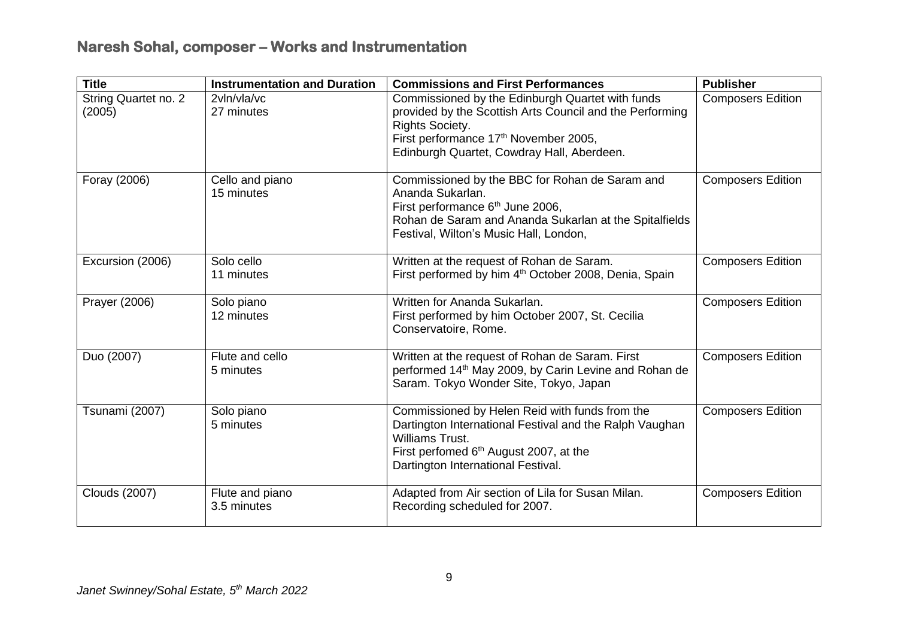| <b>Title</b>                   | <b>Instrumentation and Duration</b> | <b>Commissions and First Performances</b>                                                                                                                                                                                                 | <b>Publisher</b>         |
|--------------------------------|-------------------------------------|-------------------------------------------------------------------------------------------------------------------------------------------------------------------------------------------------------------------------------------------|--------------------------|
| String Quartet no. 2<br>(2005) | 2vln/vla/vc<br>27 minutes           | Commissioned by the Edinburgh Quartet with funds<br>provided by the Scottish Arts Council and the Performing<br><b>Rights Society.</b><br>First performance 17 <sup>th</sup> November 2005,<br>Edinburgh Quartet, Cowdray Hall, Aberdeen. | <b>Composers Edition</b> |
| Foray (2006)                   | Cello and piano<br>15 minutes       | Commissioned by the BBC for Rohan de Saram and<br>Ananda Sukarlan.<br>First performance 6 <sup>th</sup> June 2006,<br>Rohan de Saram and Ananda Sukarlan at the Spitalfields<br>Festival, Wilton's Music Hall, London,                    | <b>Composers Edition</b> |
| Excursion (2006)               | Solo cello<br>11 minutes            | Written at the request of Rohan de Saram.<br>First performed by him 4 <sup>th</sup> October 2008, Denia, Spain                                                                                                                            | <b>Composers Edition</b> |
| Prayer (2006)                  | Solo piano<br>12 minutes            | Written for Ananda Sukarlan.<br>First performed by him October 2007, St. Cecilia<br>Conservatoire, Rome.                                                                                                                                  | <b>Composers Edition</b> |
| Duo (2007)                     | Flute and cello<br>5 minutes        | Written at the request of Rohan de Saram. First<br>performed 14 <sup>th</sup> May 2009, by Carin Levine and Rohan de<br>Saram. Tokyo Wonder Site, Tokyo, Japan                                                                            | <b>Composers Edition</b> |
| Tsunami (2007)                 | Solo piano<br>5 minutes             | Commissioned by Helen Reid with funds from the<br>Dartington International Festival and the Ralph Vaughan<br>Williams Trust.<br>First perfomed 6 <sup>th</sup> August 2007, at the<br>Dartington International Festival.                  | <b>Composers Edition</b> |
| <b>Clouds (2007)</b>           | Flute and piano<br>3.5 minutes      | Adapted from Air section of Lila for Susan Milan.<br>Recording scheduled for 2007.                                                                                                                                                        | <b>Composers Edition</b> |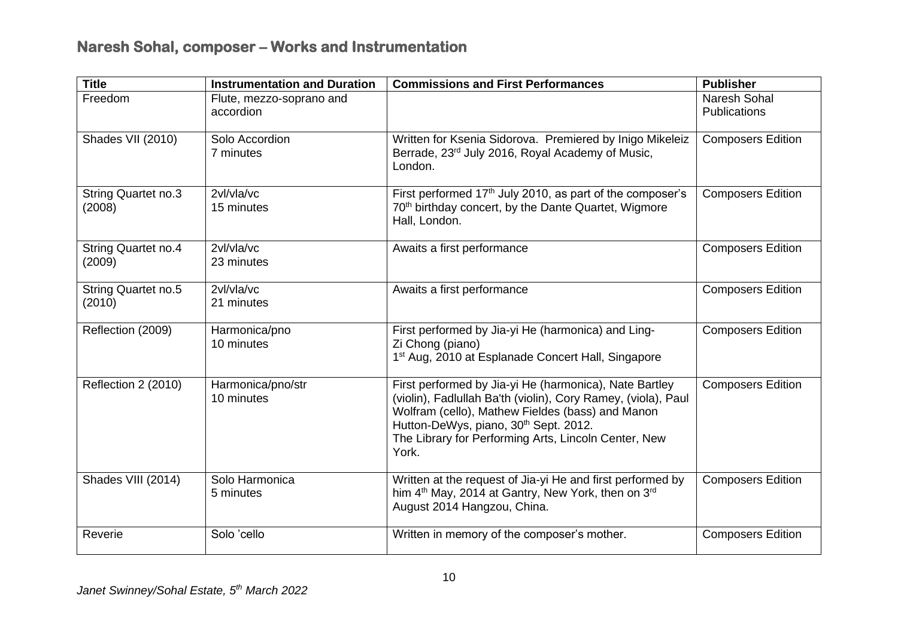| <b>Title</b>                         | <b>Instrumentation and Duration</b>   | <b>Commissions and First Performances</b>                                                                                                                                                                                                                                                         | <b>Publisher</b>                    |
|--------------------------------------|---------------------------------------|---------------------------------------------------------------------------------------------------------------------------------------------------------------------------------------------------------------------------------------------------------------------------------------------------|-------------------------------------|
| Freedom                              | Flute, mezzo-soprano and<br>accordion |                                                                                                                                                                                                                                                                                                   | Naresh Sohal<br><b>Publications</b> |
| Shades VII (2010)                    | Solo Accordion<br>7 minutes           | Written for Ksenia Sidorova. Premiered by Inigo Mikeleiz<br>Berrade, 23rd July 2016, Royal Academy of Music,<br>London.                                                                                                                                                                           | <b>Composers Edition</b>            |
| <b>String Quartet no.3</b><br>(2008) | 2vl/vla/vc<br>15 minutes              | First performed 17 <sup>th</sup> July 2010, as part of the composer's<br>70 <sup>th</sup> birthday concert, by the Dante Quartet, Wigmore<br>Hall, London.                                                                                                                                        | <b>Composers Edition</b>            |
| <b>String Quartet no.4</b><br>(2009) | 2vl/vla/vc<br>23 minutes              | Awaits a first performance                                                                                                                                                                                                                                                                        | <b>Composers Edition</b>            |
| <b>String Quartet no.5</b><br>(2010) | 2vl/vla/vc<br>21 minutes              | Awaits a first performance                                                                                                                                                                                                                                                                        | <b>Composers Edition</b>            |
| Reflection (2009)                    | Harmonica/pno<br>10 minutes           | First performed by Jia-yi He (harmonica) and Ling-<br>Zi Chong (piano)<br>1 <sup>st</sup> Aug, 2010 at Esplanade Concert Hall, Singapore                                                                                                                                                          | <b>Composers Edition</b>            |
| Reflection 2 (2010)                  | Harmonica/pno/str<br>10 minutes       | First performed by Jia-yi He (harmonica), Nate Bartley<br>(violin), Fadlullah Ba'th (violin), Cory Ramey, (viola), Paul<br>Wolfram (cello), Mathew Fieldes (bass) and Manon<br>Hutton-DeWys, piano, 30 <sup>th</sup> Sept. 2012.<br>The Library for Performing Arts, Lincoln Center, New<br>York. | <b>Composers Edition</b>            |
| Shades VIII (2014)                   | Solo Harmonica<br>5 minutes           | Written at the request of Jia-yi He and first performed by<br>him 4 <sup>th</sup> May, 2014 at Gantry, New York, then on 3 <sup>rd</sup><br>August 2014 Hangzou, China.                                                                                                                           | <b>Composers Edition</b>            |
| Reverie                              | Solo 'cello                           | Written in memory of the composer's mother.                                                                                                                                                                                                                                                       | <b>Composers Edition</b>            |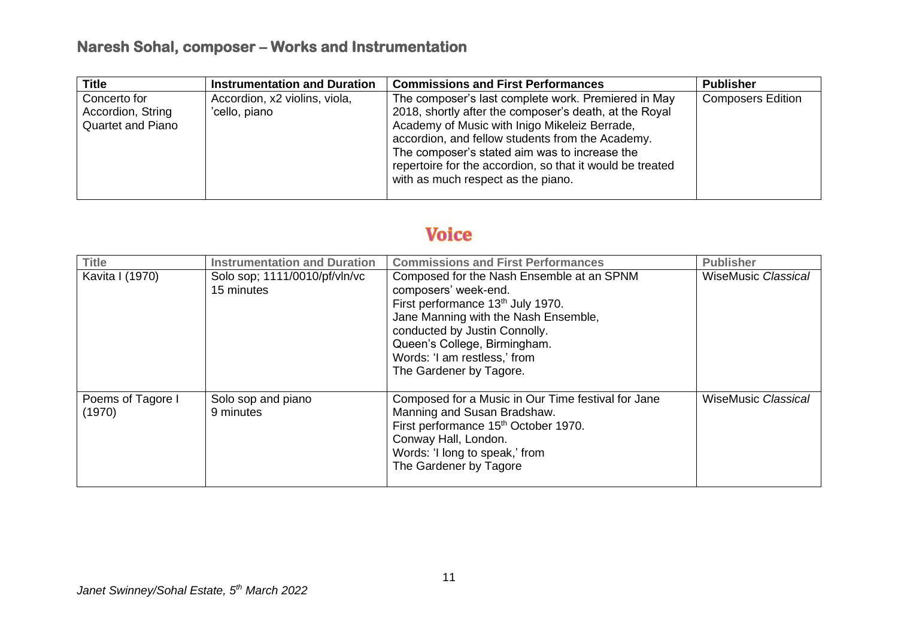| <b>Title</b>             | <b>Instrumentation and Duration</b> | <b>Commissions and First Performances</b>                 | <b>Publisher</b>         |
|--------------------------|-------------------------------------|-----------------------------------------------------------|--------------------------|
| Concerto for             | Accordion, x2 violins, viola,       | The composer's last complete work. Premiered in May       | <b>Composers Edition</b> |
| Accordion, String        | 'cello, piano                       | 2018, shortly after the composer's death, at the Royal    |                          |
| <b>Quartet and Piano</b> |                                     | Academy of Music with Inigo Mikeleiz Berrade,             |                          |
|                          |                                     | accordion, and fellow students from the Academy.          |                          |
|                          |                                     | The composer's stated aim was to increase the             |                          |
|                          |                                     | repertoire for the accordion, so that it would be treated |                          |
|                          |                                     | with as much respect as the piano.                        |                          |
|                          |                                     |                                                           |                          |

#### **Voice**

| <b>Title</b>                | <b>Instrumentation and Duration</b>         | <b>Commissions and First Performances</b>                                                                                                                                                                                                                                              | <b>Publisher</b>           |
|-----------------------------|---------------------------------------------|----------------------------------------------------------------------------------------------------------------------------------------------------------------------------------------------------------------------------------------------------------------------------------------|----------------------------|
| Kavita I (1970)             | Solo sop; 1111/0010/pf/vln/vc<br>15 minutes | Composed for the Nash Ensemble at an SPNM<br>composers' week-end.<br>First performance 13 <sup>th</sup> July 1970.<br>Jane Manning with the Nash Ensemble,<br>conducted by Justin Connolly.<br>Queen's College, Birmingham.<br>Words: 'I am restless,' from<br>The Gardener by Tagore. | <b>WiseMusic Classical</b> |
| Poems of Tagore I<br>(1970) | Solo sop and piano<br>9 minutes             | Composed for a Music in Our Time festival for Jane<br>Manning and Susan Bradshaw.<br>First performance 15 <sup>th</sup> October 1970.<br>Conway Hall, London.<br>Words: 'I long to speak,' from<br>The Gardener by Tagore                                                              | <b>WiseMusic Classical</b> |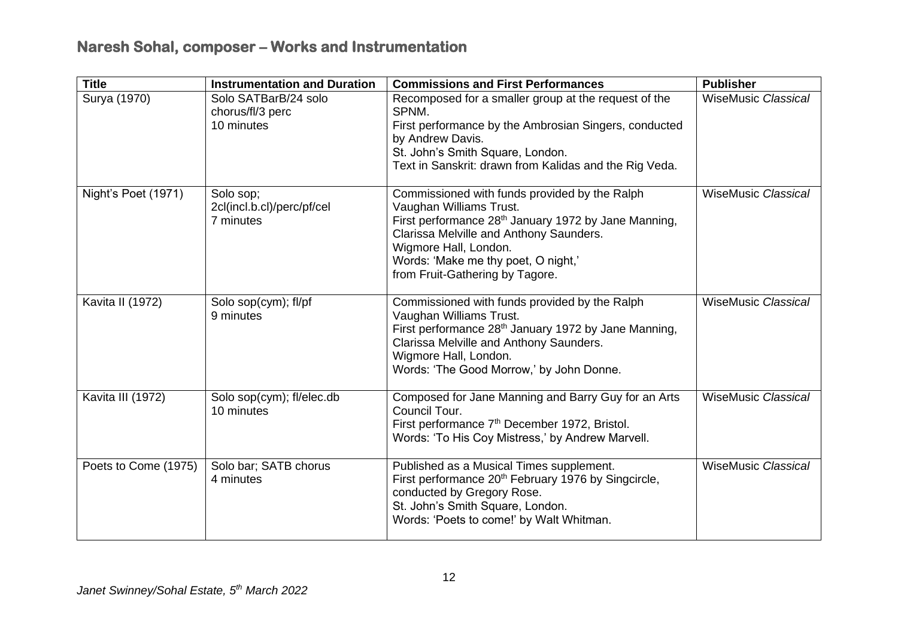| <b>Title</b>         | <b>Instrumentation and Duration</b>                    | <b>Commissions and First Performances</b>                                                                                                                                                                                                                                                  | <b>Publisher</b>           |
|----------------------|--------------------------------------------------------|--------------------------------------------------------------------------------------------------------------------------------------------------------------------------------------------------------------------------------------------------------------------------------------------|----------------------------|
| Surya (1970)         | Solo SATBarB/24 solo<br>chorus/fl/3 perc<br>10 minutes | Recomposed for a smaller group at the request of the<br>SPNM.<br>First performance by the Ambrosian Singers, conducted<br>by Andrew Davis.<br>St. John's Smith Square, London.<br>Text in Sanskrit: drawn from Kalidas and the Rig Veda.                                                   | <b>WiseMusic Classical</b> |
| Night's Poet (1971)  | Solo sop;<br>2cl(incl.b.cl)/perc/pf/cel<br>7 minutes   | Commissioned with funds provided by the Ralph<br>Vaughan Williams Trust.<br>First performance 28 <sup>th</sup> January 1972 by Jane Manning,<br>Clarissa Melville and Anthony Saunders.<br>Wigmore Hall, London.<br>Words: 'Make me thy poet, O night,'<br>from Fruit-Gathering by Tagore. | <b>WiseMusic Classical</b> |
| Kavita II (1972)     | Solo sop(cym); fl/pf<br>9 minutes                      | Commissioned with funds provided by the Ralph<br>Vaughan Williams Trust.<br>First performance 28 <sup>th</sup> January 1972 by Jane Manning,<br>Clarissa Melville and Anthony Saunders.<br>Wigmore Hall, London.<br>Words: 'The Good Morrow,' by John Donne.                               | <b>WiseMusic Classical</b> |
| Kavita III (1972)    | Solo sop(cym); fl/elec.db<br>10 minutes                | Composed for Jane Manning and Barry Guy for an Arts<br>Council Tour.<br>First performance 7 <sup>th</sup> December 1972, Bristol.<br>Words: 'To His Coy Mistress,' by Andrew Marvell.                                                                                                      | <b>WiseMusic Classical</b> |
| Poets to Come (1975) | Solo bar; SATB chorus<br>4 minutes                     | Published as a Musical Times supplement.<br>First performance 20 <sup>th</sup> February 1976 by Singcircle,<br>conducted by Gregory Rose.<br>St. John's Smith Square, London.<br>Words: 'Poets to come!' by Walt Whitman.                                                                  | <b>WiseMusic Classical</b> |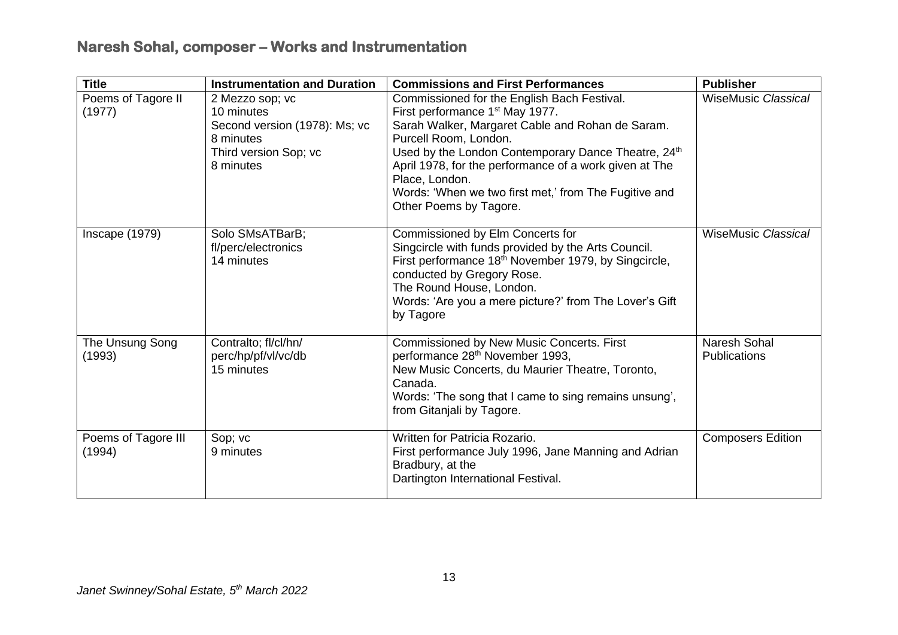| <b>Title</b>                  | <b>Instrumentation and Duration</b>                                                                               | <b>Commissions and First Performances</b>                                                                                                                                                                                                                                                                                                                                                     | <b>Publisher</b>                           |
|-------------------------------|-------------------------------------------------------------------------------------------------------------------|-----------------------------------------------------------------------------------------------------------------------------------------------------------------------------------------------------------------------------------------------------------------------------------------------------------------------------------------------------------------------------------------------|--------------------------------------------|
| Poems of Tagore II<br>(1977)  | 2 Mezzo sop; vc<br>10 minutes<br>Second version (1978): Ms; vc<br>8 minutes<br>Third version Sop; vc<br>8 minutes | Commissioned for the English Bach Festival.<br>First performance 1 <sup>st</sup> May 1977.<br>Sarah Walker, Margaret Cable and Rohan de Saram.<br>Purcell Room, London.<br>Used by the London Contemporary Dance Theatre, 24th<br>April 1978, for the performance of a work given at The<br>Place, London.<br>Words: 'When we two first met,' from The Fugitive and<br>Other Poems by Tagore. | <b>WiseMusic Classical</b>                 |
| Inscape (1979)                | Solo SMsATBarB;<br>fl/perc/electronics<br>14 minutes                                                              | Commissioned by Elm Concerts for<br>Singcircle with funds provided by the Arts Council.<br>First performance 18 <sup>th</sup> November 1979, by Singcircle,<br>conducted by Gregory Rose.<br>The Round House, London.<br>Words: 'Are you a mere picture?' from The Lover's Gift<br>by Tagore                                                                                                  | <b>WiseMusic Classical</b>                 |
| The Unsung Song<br>(1993)     | Contralto; fl/cl/hn/<br>perc/hp/pf/vl/vc/db<br>15 minutes                                                         | Commissioned by New Music Concerts. First<br>performance 28 <sup>th</sup> November 1993,<br>New Music Concerts, du Maurier Theatre, Toronto,<br>Canada.<br>Words: 'The song that I came to sing remains unsung',<br>from Gitanjali by Tagore.                                                                                                                                                 | <b>Naresh Sohal</b><br><b>Publications</b> |
| Poems of Tagore III<br>(1994) | Sop; vc<br>9 minutes                                                                                              | Written for Patricia Rozario.<br>First performance July 1996, Jane Manning and Adrian<br>Bradbury, at the<br>Dartington International Festival.                                                                                                                                                                                                                                               | <b>Composers Edition</b>                   |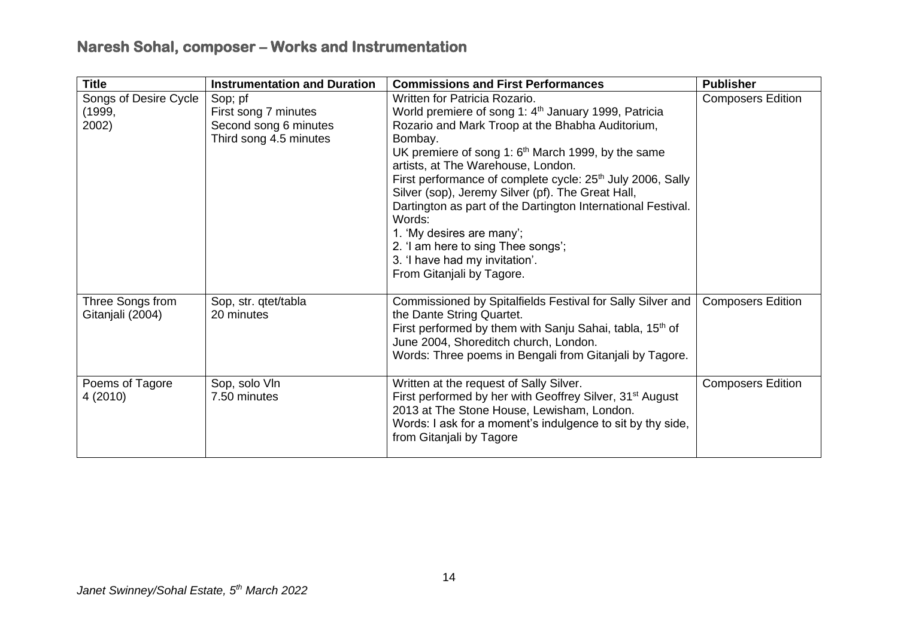| <b>Title</b>                                                                                                                   | <b>Instrumentation and Duration</b> | <b>Commissions and First Performances</b>                                                                                                                                                                                                                                                                                                                                                                                                                                                                                                                                                                           | <b>Publisher</b>         |  |
|--------------------------------------------------------------------------------------------------------------------------------|-------------------------------------|---------------------------------------------------------------------------------------------------------------------------------------------------------------------------------------------------------------------------------------------------------------------------------------------------------------------------------------------------------------------------------------------------------------------------------------------------------------------------------------------------------------------------------------------------------------------------------------------------------------------|--------------------------|--|
| Songs of Desire Cycle<br>Sop; pf<br>(1999,<br>First song 7 minutes<br>Second song 6 minutes<br>2002)<br>Third song 4.5 minutes |                                     | Written for Patricia Rozario.<br>World premiere of song 1: 4 <sup>th</sup> January 1999, Patricia<br>Rozario and Mark Troop at the Bhabha Auditorium,<br>Bombay.<br>UK premiere of song 1: 6 <sup>th</sup> March 1999, by the same<br>artists, at The Warehouse, London.<br>First performance of complete cycle: 25 <sup>th</sup> July 2006, Sally<br>Silver (sop), Jeremy Silver (pf). The Great Hall,<br>Dartington as part of the Dartington International Festival.<br>Words:<br>1. 'My desires are many';<br>2. 'I am here to sing Thee songs';<br>3. 'I have had my invitation'.<br>From Gitanjali by Tagore. | <b>Composers Edition</b> |  |
| Three Songs from<br>Gitanjali (2004)                                                                                           | Sop, str. qtet/tabla<br>20 minutes  | Commissioned by Spitalfields Festival for Sally Silver and<br>the Dante String Quartet.<br>First performed by them with Sanju Sahai, tabla, 15 <sup>th</sup> of<br>June 2004, Shoreditch church, London.<br>Words: Three poems in Bengali from Gitanjali by Tagore.                                                                                                                                                                                                                                                                                                                                                 | <b>Composers Edition</b> |  |
| Poems of Tagore<br>4 (2010)                                                                                                    | Sop, solo VIn<br>7.50 minutes       | Written at the request of Sally Silver.<br>First performed by her with Geoffrey Silver, 31 <sup>st</sup> August<br>2013 at The Stone House, Lewisham, London.<br>Words: I ask for a moment's indulgence to sit by thy side,<br>from Gitanjali by Tagore                                                                                                                                                                                                                                                                                                                                                             | <b>Composers Edition</b> |  |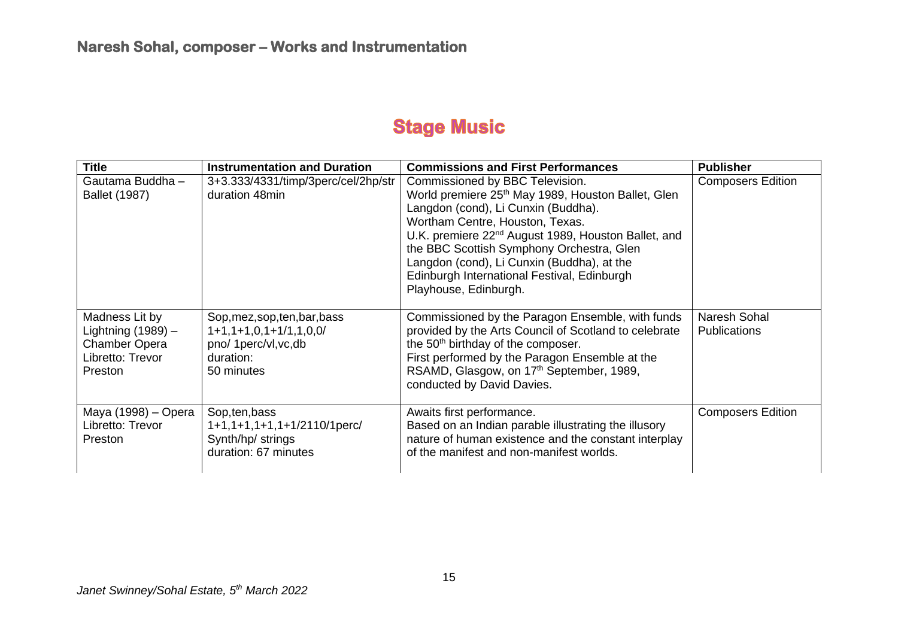# **Stage Music**

| <b>Title</b>                                                                                         | <b>Instrumentation and Duration</b>                                                                                 | <b>Commissions and First Performances</b>                                                                                                                                                                                                                                                                                                                                                                         | <b>Publisher</b>                    |
|------------------------------------------------------------------------------------------------------|---------------------------------------------------------------------------------------------------------------------|-------------------------------------------------------------------------------------------------------------------------------------------------------------------------------------------------------------------------------------------------------------------------------------------------------------------------------------------------------------------------------------------------------------------|-------------------------------------|
| Gautama Buddha -<br><b>Ballet (1987)</b>                                                             | 3+3.333/4331/timp/3perc/cel/2hp/str<br>duration 48min                                                               | Commissioned by BBC Television.<br>World premiere 25 <sup>th</sup> May 1989, Houston Ballet, Glen<br>Langdon (cond), Li Cunxin (Buddha).<br>Wortham Centre, Houston, Texas.<br>U.K. premiere 22 <sup>nd</sup> August 1989, Houston Ballet, and<br>the BBC Scottish Symphony Orchestra, Glen<br>Langdon (cond), Li Cunxin (Buddha), at the<br>Edinburgh International Festival, Edinburgh<br>Playhouse, Edinburgh. | <b>Composers Edition</b>            |
| Madness Lit by<br>Lightning $(1989)$ -<br><b>Chamber Opera</b><br>Libretto: Trevor<br><b>Preston</b> | Sop, mez, sop, ten, bar, bass<br>$1+1, 1+1, 0, 1+1/1, 1, 0, 0/$<br>pno/ 1perc/vl, vc, db<br>duration:<br>50 minutes | Commissioned by the Paragon Ensemble, with funds<br>provided by the Arts Council of Scotland to celebrate<br>the 50 <sup>th</sup> birthday of the composer.<br>First performed by the Paragon Ensemble at the<br>RSAMD, Glasgow, on 17th September, 1989,<br>conducted by David Davies.                                                                                                                           | Naresh Sohal<br><b>Publications</b> |
| Maya (1998) – Opera<br>Libretto: Trevor<br><b>Preston</b>                                            | Sop, ten, bass<br>1+1,1+1,1+1,1+1/2110/1perc/<br>Synth/hp/ strings<br>duration: 67 minutes                          | Awaits first performance.<br>Based on an Indian parable illustrating the illusory<br>nature of human existence and the constant interplay<br>of the manifest and non-manifest worlds.                                                                                                                                                                                                                             | <b>Composers Edition</b>            |